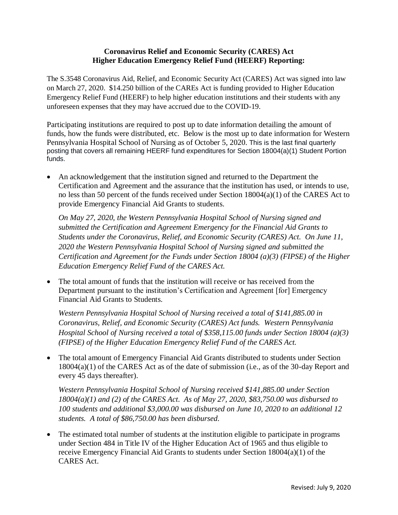## **Coronavirus Relief and Economic Security (CARES) Act Higher Education Emergency Relief Fund (HEERF) Reporting:**

The S.3548 Coronavirus Aid, Relief, and Economic Security Act (CARES) Act was signed into law on March 27, 2020. \$14.250 billion of the CAREs Act is funding provided to Higher Education Emergency Relief Fund (HEERF) to help higher education institutions and their students with any unforeseen expenses that they may have accrued due to the COVID-19.

Participating institutions are required to post up to date information detailing the amount of funds, how the funds were distributed, etc. Below is the most up to date information for Western Pennsylvania Hospital School of Nursing as of October 5, 2020. This is the last final quarterly posting that covers all remaining HEERF fund expenditures for Section 18004(a)(1) Student Portion funds.

 An acknowledgement that the institution signed and returned to the Department the Certification and Agreement and the assurance that the institution has used, or intends to use, no less than 50 percent of the funds received under Section 18004(a)(1) of the CARES Act to provide Emergency Financial Aid Grants to students.

*On May 27, 2020, the Western Pennsylvania Hospital School of Nursing signed and submitted the Certification and Agreement Emergency for the Financial Aid Grants to Students under the Coronavirus, Relief, and Economic Security (CARES) Act. On June 11, 2020 the Western Pennsylvania Hospital School of Nursing signed and submitted the Certification and Agreement for the Funds under Section 18004 (a)(3) (FIPSE) of the Higher Education Emergency Relief Fund of the CARES Act.*

 The total amount of funds that the institution will receive or has received from the Department pursuant to the institution's Certification and Agreement [for] Emergency Financial Aid Grants to Students.

*Western Pennsylvania Hospital School of Nursing received a total of \$141,885.00 in Coronavirus, Relief, and Economic Security (CARES) Act funds. Western Pennsylvania Hospital School of Nursing received a total of \$358,115.00 funds under Section 18004 (a)(3) (FIPSE) of the Higher Education Emergency Relief Fund of the CARES Act.*

• The total amount of Emergency Financial Aid Grants distributed to students under Section 18004(a)(1) of the CARES Act as of the date of submission (i.e., as of the 30-day Report and every 45 days thereafter).

*Western Pennsylvania Hospital School of Nursing received \$141,885.00 under Section 18004(a)(1) and (2) of the CARES Act. As of May 27, 2020, \$83,750.00 was disbursed to 100 students and additional \$3,000.00 was disbursed on June 10, 2020 to an additional 12 students. A total of \$86,750.00 has been disbursed.* 

 The estimated total number of students at the institution eligible to participate in programs under Section 484 in Title IV of the Higher Education Act of 1965 and thus eligible to receive Emergency Financial Aid Grants to students under Section 18004(a)(1) of the CARES Act.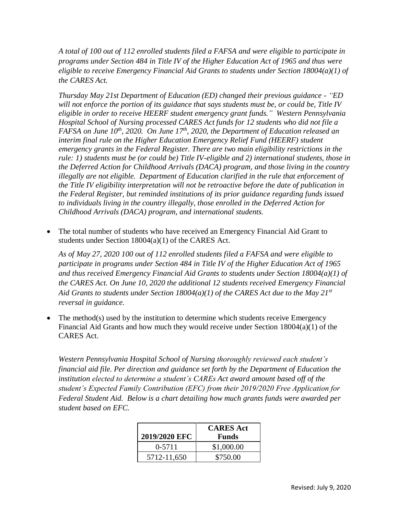*A total of 100 out of 112 enrolled students filed a FAFSA and were eligible to participate in programs under Section 484 in Title IV of the Higher Education Act of 1965 and thus were eligible to receive Emergency Financial Aid Grants to students under Section 18004(a)(1) of the CARES Act.*

*Thursday May 21st Department of Education (ED) changed their previous guidance - "ED will not enforce the portion of its guidance that says students must be, or could be, Title IV eligible in order to receive HEERF student emergency grant funds." Western Pennsylvania Hospital School of Nursing processed CARES Act funds for 12 students who did not file a FAFSA on June 10th, 2020. On June 17th, 2020, the Department of Education released an interim final rule on the Higher Education Emergency Relief Fund (HEERF) student emergency grants in the Federal Register. There are two main eligibility restrictions in the rule: 1) students must be (or could be) Title IV-eligible and 2) international students, those in the Deferred Action for Childhood Arrivals (DACA) program, and those living in the country illegally are not eligible. Department of Education clarified in the rule that enforcement of the Title IV eligibility interpretation will not be retroactive before the date of publication in the Federal Register, but reminded institutions of its prior guidance regarding funds issued to individuals living in the country illegally, those enrolled in the Deferred Action for Childhood Arrivals (DACA) program, and international students.* 

 The total number of students who have received an Emergency Financial Aid Grant to students under Section 18004(a)(1) of the CARES Act.

*As of May 27, 2020 100 out of 112 enrolled students filed a FAFSA and were eligible to participate in programs under Section 484 in Title IV of the Higher Education Act of 1965 and thus received Emergency Financial Aid Grants to students under Section 18004(a)(1) of the CARES Act. On June 10, 2020 the additional 12 students received Emergency Financial Aid Grants to students under Section 18004(a)(1) of the CARES Act due to the May 21st reversal in guidance.*

• The method(s) used by the institution to determine which students receive Emergency Financial Aid Grants and how much they would receive under Section 18004(a)(1) of the CARES Act.

*Western Pennsylvania Hospital School of Nursing thoroughly reviewed each student's financial aid file. Per direction and guidance set forth by the Department of Education the institution elected to determine a student's CAREs Act award amount based off of the student's Expected Family Contribution (EFC) from their 2019/2020 Free Application for Federal Student Aid. Below is a chart detailing how much grants funds were awarded per student based on EFC.* 

| 2019/2020 EFC | <b>CARES</b> Act<br><b>Funds</b> |
|---------------|----------------------------------|
| $0-5711$      | \$1,000.00                       |
| 5712-11,650   | \$750.00                         |